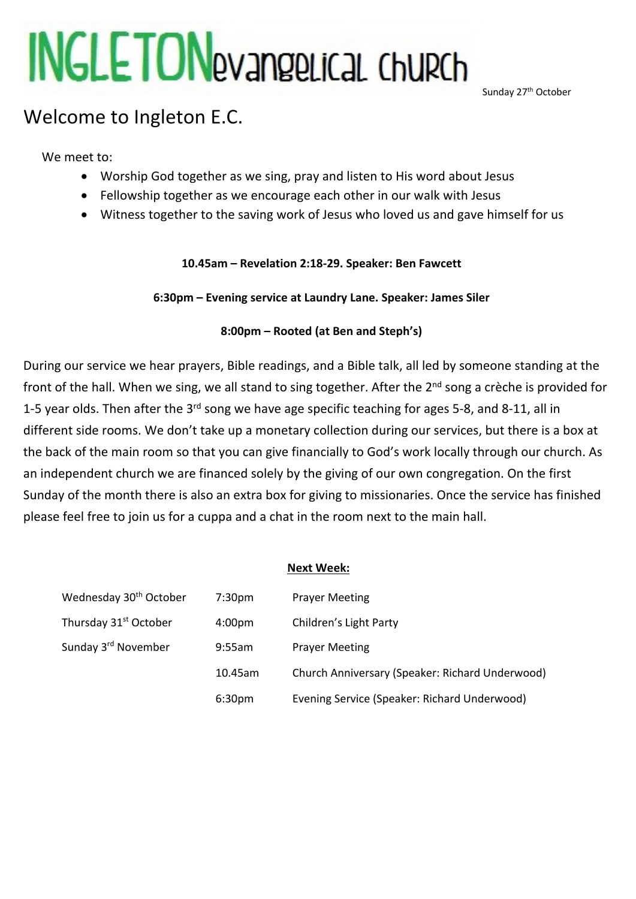# **INGLETON**evangelical Church

Sunday 27<sup>th</sup> October

# Welcome to Ingleton E.C.

We meet to:

- Worship God together as we sing, pray and listen to His word about Jesus
- Fellowship together as we encourage each other in our walk with Jesus
- Witness together to the saving work of Jesus who loved us and gave himself for us

# **10.45am – Revelation 2:18-29. Speaker: Ben Fawcett**

**6:30pm – Evening service at Laundry Lane. Speaker: James Siler**

# **8:00pm – Rooted (at Ben and Steph's)**

During our service we hear prayers, Bible readings, and a Bible talk, all led by someone standing at the front of the hall. When we sing, we all stand to sing together. After the 2<sup>nd</sup> song a crèche is provided for 1-5 year olds. Then after the 3<sup>rd</sup> song we have age specific teaching for ages 5-8, and 8-11, all in different side rooms. We don't take up a monetary collection during our services, but there is a box at the back of the main room so that you can give financially to God's work locally through our church. As an independent church we are financed solely by the giving of our own congregation. On the first Sunday of the month there is also an extra box for giving to missionaries. Once the service has finished please feel free to join us for a cuppa and a chat in the room next to the main hall.

# **Next Week:**

| Wednesday 30 <sup>th</sup> October | 7:30 <sub>pm</sub> | <b>Prayer Meeting</b>                           |
|------------------------------------|--------------------|-------------------------------------------------|
| Thursday 31 <sup>st</sup> October  | 4:00 <sub>pm</sub> | Children's Light Party                          |
| Sunday 3rd November                | 9:55am             | <b>Prayer Meeting</b>                           |
|                                    | 10.45am            | Church Anniversary (Speaker: Richard Underwood) |
|                                    | 6:30pm             | Evening Service (Speaker: Richard Underwood)    |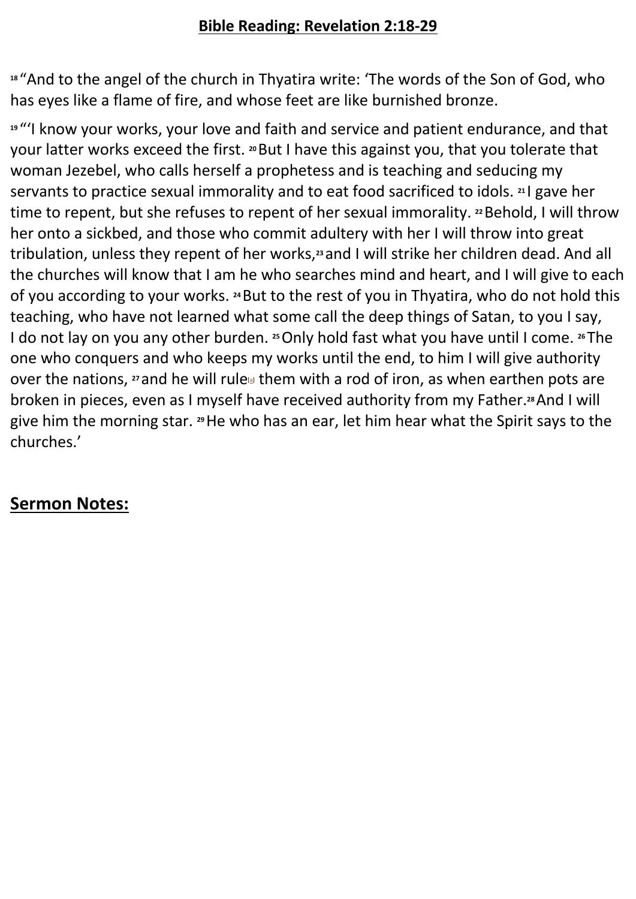# **Bible Reading: Revelation 2:18-29**

**<sup>18</sup>** "And to the angel of the church in Thyatira write: 'The words of the Son of God, who has eyes like a flame of fire, and whose feet are like burnished bronze.

**<sup>19</sup>** "'I know your works, your love and faith and service and patient endurance, and that your latter works exceed the first. **<sup>20</sup>**But I have this against you, that you tolerate that woman Jezebel, who calls herself a prophetess and is teaching and seducing my servants to practice sexual immorality and to eat food sacrificed to idols. **<sup>21</sup>** I gave her time to repent, but she refuses to repent of her sexual immorality. <sup>22</sup> Behold, I will throw her onto a sickbed, and those who commit adultery with her I will throw into great tribulation, unless they repent of her works,**<sup>23</sup>** and I will strike her children dead. And all the churches will know that I am he who searches mind and heart, and I will give to each of you according to your works. **<sup>24</sup>**But to the rest of you in Thyatira, who do not hold this teaching, who have not learned what some call the deep things of Satan, to you I say, I do not lay on you any other burden. **<sup>25</sup>**Only hold fast what you have until I come. **<sup>26</sup>** The one who conquers and who keeps my works until the end, to him I will give authority over the nations, **<sup>27</sup>** and he will rule[a] them with a rod of iron, as when earthen pots are broken in pieces, even as I myself have received authority from my Father.**28**And I will give him the morning star. **<sup>29</sup>**He who has an ear, let him hear what the Spirit says to the churches.'

# **Sermon Notes:**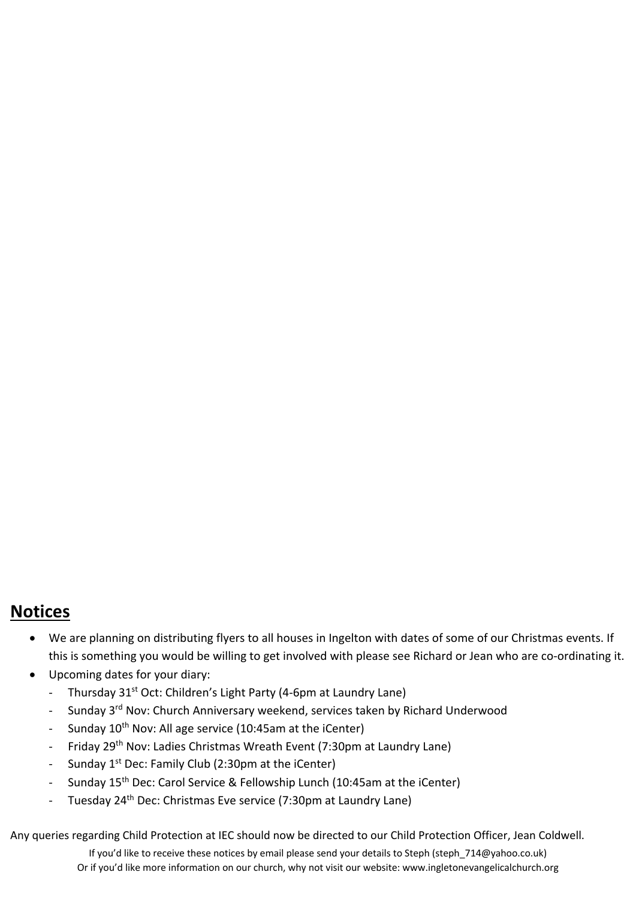# **Notices**

- We are planning on distributing flyers to all houses in Ingelton with dates of some of our Christmas events. If this is something you would be willing to get involved with please see Richard or Jean who are co-ordinating it.
- Upcoming dates for your diary:
	- Thursday 31<sup>st</sup> Oct: Children's Light Party (4-6pm at Laundry Lane)
	- Sunday 3<sup>rd</sup> Nov: Church Anniversary weekend, services taken by Richard Underwood
	- Sunday 10<sup>th</sup> Nov: All age service (10:45am at the iCenter)
	- Friday 29<sup>th</sup> Nov: Ladies Christmas Wreath Event (7:30pm at Laundry Lane)
	- Sunday 1<sup>st</sup> Dec: Family Club (2:30pm at the iCenter)
	- Sunday 15<sup>th</sup> Dec: Carol Service & Fellowship Lunch (10:45am at the iCenter)
	- Tuesday 24<sup>th</sup> Dec: Christmas Eve service (7:30pm at Laundry Lane)

Any queries regarding Child Protection at IEC should now be directed to our Child Protection Officer, Jean Coldwell.

If you'd like to receive these notices by email please send your details to Steph (steph 714@yahoo.co.uk) Or if you'd like more information on our church, why not visit our website: www.ingletonevangelicalchurch.org